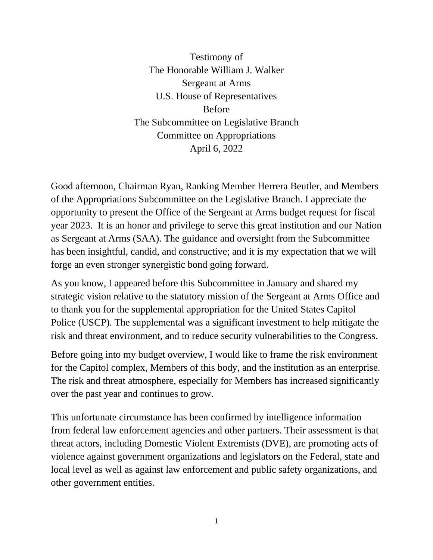Testimony of The Honorable William J. Walker Sergeant at Arms U.S. House of Representatives Before The Subcommittee on Legislative Branch Committee on Appropriations April 6, 2022

Good afternoon, Chairman Ryan, Ranking Member Herrera Beutler, and Members of the Appropriations Subcommittee on the Legislative Branch. I appreciate the opportunity to present the Office of the Sergeant at Arms budget request for fiscal year 2023. It is an honor and privilege to serve this great institution and our Nation as Sergeant at Arms (SAA). The guidance and oversight from the Subcommittee has been insightful, candid, and constructive; and it is my expectation that we will forge an even stronger synergistic bond going forward.

As you know, I appeared before this Subcommittee in January and shared my strategic vision relative to the statutory mission of the Sergeant at Arms Office and to thank you for the supplemental appropriation for the United States Capitol Police (USCP). The supplemental was a significant investment to help mitigate the risk and threat environment, and to reduce security vulnerabilities to the Congress.

Before going into my budget overview, I would like to frame the risk environment for the Capitol complex, Members of this body, and the institution as an enterprise. The risk and threat atmosphere, especially for Members has increased significantly over the past year and continues to grow.

This unfortunate circumstance has been confirmed by intelligence information from federal law enforcement agencies and other partners. Their assessment is that threat actors, including Domestic Violent Extremists (DVE), are promoting acts of violence against government organizations and legislators on the Federal, state and local level as well as against law enforcement and public safety organizations, and other government entities.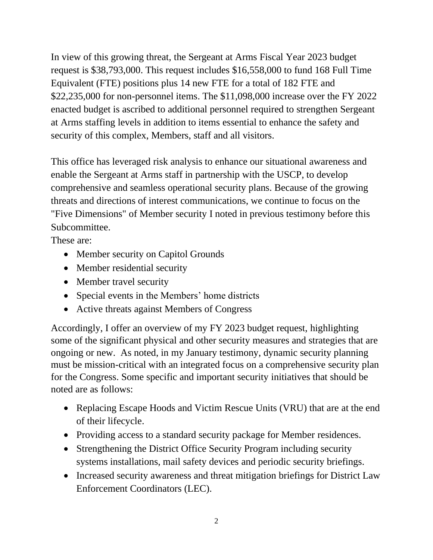In view of this growing threat, the Sergeant at Arms Fiscal Year 2023 budget request is \$38,793,000. This request includes \$16,558,000 to fund 168 Full Time Equivalent (FTE) positions plus 14 new FTE for a total of 182 FTE and \$22,235,000 for non-personnel items. The \$11,098,000 increase over the FY 2022 enacted budget is ascribed to additional personnel required to strengthen Sergeant at Arms staffing levels in addition to items essential to enhance the safety and security of this complex, Members, staff and all visitors.

This office has leveraged risk analysis to enhance our situational awareness and enable the Sergeant at Arms staff in partnership with the USCP, to develop comprehensive and seamless operational security plans. Because of the growing threats and directions of interest communications, we continue to focus on the "Five Dimensions" of Member security I noted in previous testimony before this Subcommittee.

These are:

- Member security on Capitol Grounds
- Member residential security
- Member travel security
- Special events in the Members' home districts
- Active threats against Members of Congress

Accordingly, I offer an overview of my FY 2023 budget request, highlighting some of the significant physical and other security measures and strategies that are ongoing or new. As noted, in my January testimony, dynamic security planning must be mission-critical with an integrated focus on a comprehensive security plan for the Congress. Some specific and important security initiatives that should be noted are as follows:

- Replacing Escape Hoods and Victim Rescue Units (VRU) that are at the end of their lifecycle.
- Providing access to a standard security package for Member residences.
- Strengthening the District Office Security Program including security systems installations, mail safety devices and periodic security briefings.
- Increased security awareness and threat mitigation briefings for District Law Enforcement Coordinators (LEC).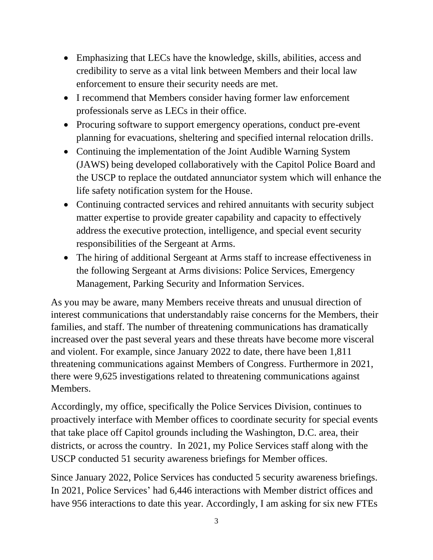- Emphasizing that LECs have the knowledge, skills, abilities, access and credibility to serve as a vital link between Members and their local law enforcement to ensure their security needs are met.
- I recommend that Members consider having former law enforcement professionals serve as LECs in their office.
- Procuring software to support emergency operations, conduct pre-event planning for evacuations, sheltering and specified internal relocation drills.
- Continuing the implementation of the Joint Audible Warning System (JAWS) being developed collaboratively with the Capitol Police Board and the USCP to replace the outdated annunciator system which will enhance the life safety notification system for the House.
- Continuing contracted services and rehired annuitants with security subject matter expertise to provide greater capability and capacity to effectively address the executive protection, intelligence, and special event security responsibilities of the Sergeant at Arms.
- The hiring of additional Sergeant at Arms staff to increase effectiveness in the following Sergeant at Arms divisions: Police Services, Emergency Management, Parking Security and Information Services.

As you may be aware, many Members receive threats and unusual direction of interest communications that understandably raise concerns for the Members, their families, and staff. The number of threatening communications has dramatically increased over the past several years and these threats have become more visceral and violent. For example, since January 2022 to date, there have been 1,811 threatening communications against Members of Congress. Furthermore in 2021, there were 9,625 investigations related to threatening communications against Members.

Accordingly, my office, specifically the Police Services Division, continues to proactively interface with Member offices to coordinate security for special events that take place off Capitol grounds including the Washington, D.C. area, their districts, or across the country. In 2021, my Police Services staff along with the USCP conducted 51 security awareness briefings for Member offices.

Since January 2022, Police Services has conducted 5 security awareness briefings. In 2021, Police Services' had 6,446 interactions with Member district offices and have 956 interactions to date this year. Accordingly, I am asking for six new FTEs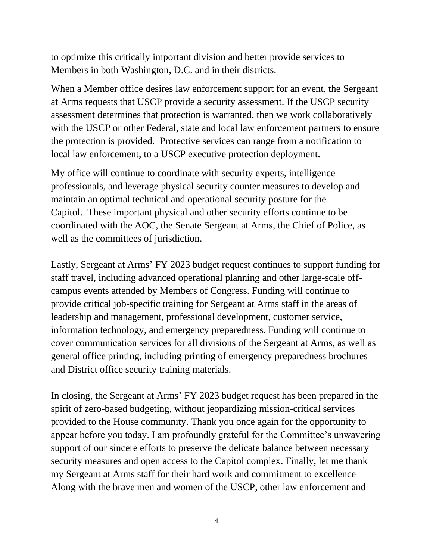to optimize this critically important division and better provide services to Members in both Washington, D.C. and in their districts.

When a Member office desires law enforcement support for an event, the Sergeant at Arms requests that USCP provide a security assessment. If the USCP security assessment determines that protection is warranted, then we work collaboratively with the USCP or other Federal, state and local law enforcement partners to ensure the protection is provided. Protective services can range from a notification to local law enforcement, to a USCP executive protection deployment.

My office will continue to coordinate with security experts, intelligence professionals, and leverage physical security counter measures to develop and maintain an optimal technical and operational security posture for the Capitol. These important physical and other security efforts continue to be coordinated with the AOC, the Senate Sergeant at Arms, the Chief of Police, as well as the committees of jurisdiction.

Lastly, Sergeant at Arms' FY 2023 budget request continues to support funding for staff travel, including advanced operational planning and other large-scale offcampus events attended by Members of Congress. Funding will continue to provide critical job-specific training for Sergeant at Arms staff in the areas of leadership and management, professional development, customer service, information technology, and emergency preparedness. Funding will continue to cover communication services for all divisions of the Sergeant at Arms, as well as general office printing, including printing of emergency preparedness brochures and District office security training materials.

In closing, the Sergeant at Arms' FY 2023 budget request has been prepared in the spirit of zero-based budgeting, without jeopardizing mission-critical services provided to the House community. Thank you once again for the opportunity to appear before you today. I am profoundly grateful for the Committee's unwavering support of our sincere efforts to preserve the delicate balance between necessary security measures and open access to the Capitol complex. Finally, let me thank my Sergeant at Arms staff for their hard work and commitment to excellence Along with the brave men and women of the USCP, other law enforcement and